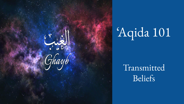

# 'Aqida 101

# Transmitted Beliefs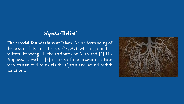#### *'Aqida***/Belief**

**The creedal foundations of Islam**: An understanding of the essential Islamic beliefs (*'aqida*) which ground a believer; knowing [1] the attributes of Allah and [2] His Prophets, as well as [3] matters of the unseen that have been transmitted to us via the Quran and sound hadith narrations.

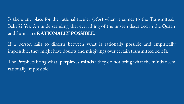Is there any place for the rational faculty (*'Aql*) when it comes to the Transmitted Beliefs? Yes: An understanding that everything of the unseen described in the Quran and Sunna are **RATIONALLY POSSIBLE**.

If a person fails to discern between what is rationally possible and empirically impossible, they might have doubts and misgivings over certain transmitted beliefs.

The Prophets bring what '**perplexes minds**'; they do not bring what the minds deem rationally impossible.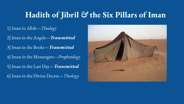# **Hadith of Jibril** *&* **the Six Pillars of Iman**

1] Iman in Allah—*Theology* 2] Iman in the Angels—*Transmitted* 3] Iman in the Books—*Transmitted* 4] Iman in the Messengers—*Prophetology* 5] Iman in the Last Day—*Transmitted* 6] Iman in the Divine Decree—*Theology*

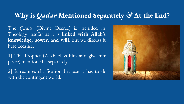### **Why is** *Qadar* **Mentioned Separately** *&* **At the End?**

The *Qadar* (Divine Decree) is included in Theology insofar as it is **linked with Allah's knowledge, power, and will**, but we discuss it here because:

1] The Prophet (Allah bless him and give him peace) mentioned it separately.

2] It requires clarification because it has to do with the contingent world.

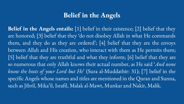### **Belief in the Angels**

**Belief in the Angels entails:** [1] belief in their existence; [2] belief that they are honored; [3] belief that they 'do not disobey Allah in what He commands them, and they do as they are ordered'; [4] belief that they are the envoys between Allah and His creation, who interact with them as He permits them; [5] belief that they are truthful and what they inform; [6] belief that they are so numerous that only Allah knows their actual number, as He said '*And none know the hosts of your Lord but He*' (Sura al-Muddathir: 31); [7] belief in the specific Angels whose names and titles are mentioned in the Quran and Sunna, such as Jibril, Mika'il, Israfil, Malak al-Mawt, Munkar and Nakir, Malik.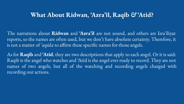#### **What About Ridwan, 'Azra'il, Raqib** *&* **'Atid?**

The narrations about **Ridwan** and **'Azra'il** are not sound, and others are Isra'iliyat reports, so the names are often used, but we don't have absolute certainty. Therefore, it is not a matter of *'aqida* to affirm these specific names for those angels.

As for **Raqib** and **'Atid**, they are two descriptions that apply to each angel. Or it is said: Raqib is the angel who watches and 'Atid is the angel ever ready to record. They are not names of two angels, but all of the watching and recording angels charged with recording our actions.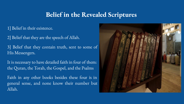#### **Belief in the Revealed Scriptures**

1] Belief in their existence.

2] Belief that they are the speech of Allah.

3] Belief that they contain truth, sent to some of His Messengers.

It is necessary to have detailed faith in four of them: the Quran, the Torah, the Gospel, and the Psalms

Faith in any other books besides these four is in general sense, and none know their number but Allah.

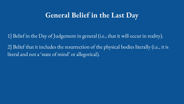### **General Belief in the Last Day**

1] Belief in the Day of Judgement in general (i.e., that it will occur in reality).

2] Belief that it includes the resurrection of the physical bodies literally (i.e., it is literal and not a 'state of mind' or allegorical).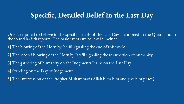# **Specific, Detailed Belief in the Last Day**

One is required to believe in the specific details of the Last Day mentioned in the Quran and in the sound hadith reports. The basic events we believe in include:

1] The blowing of the Horn by Israfil signaling the end of this world.

2] The second blowing of the Horn by Israfil signaling the resurrection of humanity.

3] The gathering of humanity on the Judgments Plains on the Last Day.

4] Standing on the Day of Judgement.

5] The Intercession of the Prophet Muhammad (Allah bless him and give him peace)...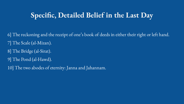# **Specific, Detailed Belief in the Last Day**

6] The reckoning and the receipt of one's book of deeds in either their right or left hand. 7] The Scale (al-Mizan). 8] The Bridge (al-Sirat). 9] The Pond (al-Hawd). 10] The two abodes of eternity: Janna and Jahannam.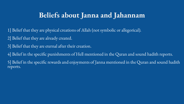## **Beliefs about Janna and Jahannam**

- 1] Belief that they are physical creations of Allah (not symbolic or allegorical).
- 2] Belief that they are already created.
- 3] Belief that they are eternal after their creation.
- 4] Belief in the specific punishments of Hell mentioned in the Quran and sound hadith reports.
- 5] Belief in the specific rewards and enjoyments of Janna mentioned in the Quran and sound hadith reports.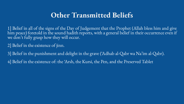## **Other Transmitted Beliefs**

1] Belief in all of the signs of the Day of Judgement that the Prophet (Allah bless him and give him peace) foretold in the sound hadith reports, with a general belief in their occurrence even if we don't fully grasp how they will occur.

2] Belief in the existence of jinn.

3] Belief in the punishment and delight in the grave ('Adhab al-Qabr wa Na'im al-Qabr). 4] Belief in the existence of: the 'Arsh, the Kursi, the Pen, and the Preserved Tablet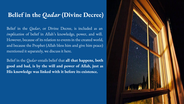#### **Belief in the** *Qadar* **(Divine Decree)**

Belief in the *Qadar*, or Divine Decree, is included as an *implication* of belief in Allah's knowledge, power, and will. However, because of its relation to events in the created world, and because the Prophet (Allah bless him and give him peace) mentioned it separately, we discuss it here.

Belief in the *Qadar* entails belief that **all that happens, both good and bad, is by the will and power of Allah, just as His knowledge was linked with it before its existence.**